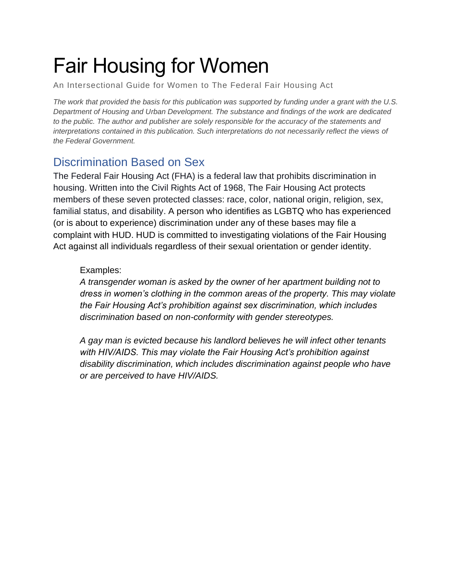# Fair Housing for Women

An Intersectional Guide for Women to The Federal Fair Housing Act

*The work that provided the basis for this publication was supported by funding under a grant with the U.S. Department of Housing and Urban Development. The substance and findings of the work are dedicated to the public. The author and publisher are solely responsible for the accuracy of the statements and interpretations contained in this publication. Such interpretations do not necessarily reflect the views of the Federal Government.*

# <span id="page-0-0"></span>Discrimination Based on Sex

The Federal Fair Housing Act (FHA) is a federal law that prohibits discrimination in housing. Written into the Civil Rights Act of 1968, The Fair Housing Act protects members of these seven protected classes: race, color, national origin, religion, sex, familial status, and disability. A person who identifies as LGBTQ who has experienced (or is about to experience) discrimination under any of these bases may file a complaint with HUD. HUD is committed to investigating violations of the Fair Housing Act against all individuals regardless of their sexual orientation or gender identity.

## Examples:

*A transgender woman is asked by the owner of her apartment building not to dress in women's clothing in the common areas of the property. This may violate the Fair Housing Act's prohibition against sex discrimination, which includes discrimination based on non-conformity with gender stereotypes.*

*A gay man is evicted because his landlord believes he will infect other tenants with HIV/AIDS. This may violate the Fair Housing Act's prohibition against disability discrimination, which includes discrimination against people who have or are perceived to have HIV/AIDS.*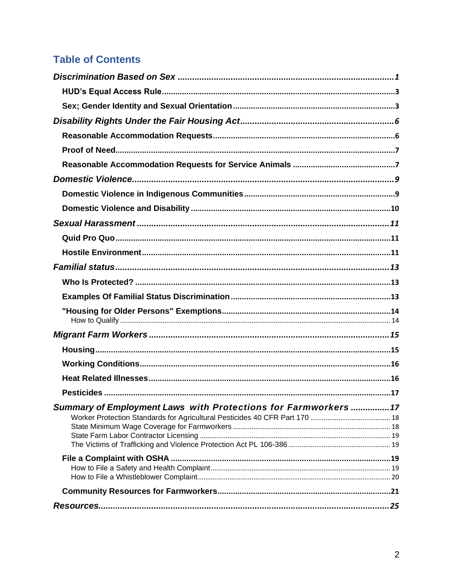# **Table of Contents**

| Summary of Employment Laws with Protections for Farmworkers17 |  |
|---------------------------------------------------------------|--|
|                                                               |  |
|                                                               |  |
|                                                               |  |
|                                                               |  |
|                                                               |  |
|                                                               |  |
|                                                               |  |
|                                                               |  |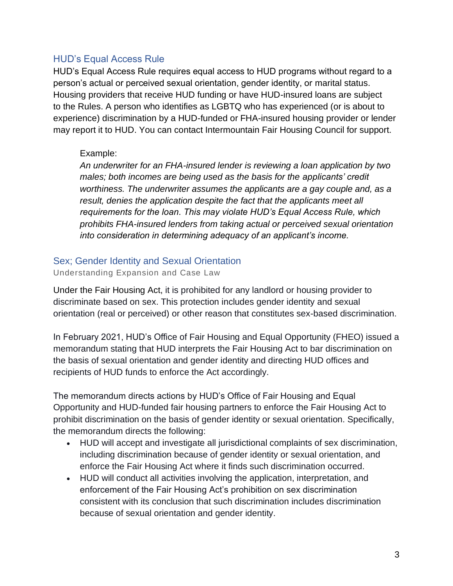# <span id="page-2-0"></span>HUD's Equal Access Rule

HUD's Equal Access Rule requires equal access to HUD programs without regard to a person's actual or perceived sexual orientation, gender identity, or marital status. Housing providers that receive HUD funding or have HUD-insured loans are subject to the Rules. A person who identifies as LGBTQ who has experienced (or is about to experience) discrimination by a HUD-funded or FHA-insured housing provider or lender may report it to HUD. You can contact Intermountain Fair Housing Council for support.

## Example:

*An underwriter for an FHA-insured lender is reviewing a loan application by two males; both incomes are being used as the basis for the applicants' credit worthiness. The underwriter assumes the applicants are a gay couple and, as a result, denies the application despite the fact that the applicants meet all requirements for the loan. This may violate HUD's Equal Access Rule, which prohibits FHA-insured lenders from taking actual or perceived sexual orientation into consideration in determining adequacy of an applicant's income.*

## <span id="page-2-1"></span>Sex; Gender Identity and Sexual Orientation

#### Understanding Expansion and Case Law

Under the Fair Housing Act, it is prohibited for any landlord or housing provider to discriminate based on sex. This protection includes gender identity and sexual orientation (real or perceived) or other reason that constitutes sex-based discrimination.

In February 2021, HUD's Office of Fair Housing and Equal Opportunity (FHEO) issued a memorandum stating that HUD interprets the Fair Housing Act to bar discrimination on the basis of sexual orientation and gender identity and directing HUD offices and recipients of HUD funds to enforce the Act accordingly.

The memorandum directs actions by HUD's Office of Fair Housing and Equal Opportunity and HUD-funded fair housing partners to enforce the Fair Housing Act to prohibit discrimination on the basis of gender identity or sexual orientation. Specifically, the memorandum directs the following:

- HUD will accept and investigate all jurisdictional complaints of sex discrimination, including discrimination because of gender identity or sexual orientation, and enforce the Fair Housing Act where it finds such discrimination occurred.
- HUD will conduct all activities involving the application, interpretation, and enforcement of the Fair Housing Act's prohibition on sex discrimination consistent with its conclusion that such discrimination includes discrimination because of sexual orientation and gender identity.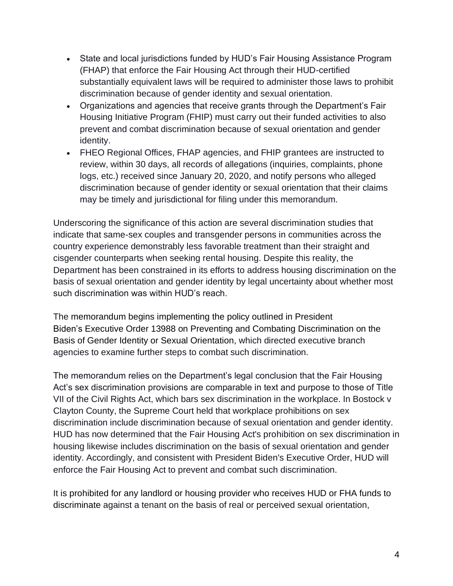- State and local jurisdictions funded by HUD's Fair Housing Assistance Program (FHAP) that enforce the Fair Housing Act through their HUD-certified substantially equivalent laws will be required to administer those laws to prohibit discrimination because of gender identity and sexual orientation.
- Organizations and agencies that receive grants through the Department's Fair Housing Initiative Program (FHIP) must carry out their funded activities to also prevent and combat discrimination because of sexual orientation and gender identity.
- FHEO Regional Offices, FHAP agencies, and FHIP grantees are instructed to review, within 30 days, all records of allegations (inquiries, complaints, phone logs, etc.) received since January 20, 2020, and notify persons who alleged discrimination because of gender identity or sexual orientation that their claims may be timely and jurisdictional for filing under this memorandum.

Underscoring the significance of this action are several discrimination studies that indicate that same-sex couples and transgender persons in communities across the country experience demonstrably less favorable treatment than their straight and cisgender counterparts when seeking rental housing. Despite this reality, the Department has been constrained in its efforts to address housing discrimination on the basis of sexual orientation and gender identity by legal uncertainty about whether most such discrimination was within HUD's reach.

The memorandum begins implementing the policy outlined in President Biden's Executive Order 13988 on Preventing and Combating Discrimination on the Basis of Gender Identity or Sexual Orientation, which directed executive branch agencies to examine further steps to combat such discrimination.

The memorandum relies on the Department's legal conclusion that the Fair Housing Act's sex discrimination provisions are comparable in text and purpose to those of Title VII of the Civil Rights Act, which bars sex discrimination in the workplace. In Bostock v Clayton County, the Supreme Court held that workplace prohibitions on sex discrimination include discrimination because of sexual orientation and gender identity. HUD has now determined that the Fair Housing Act's prohibition on sex discrimination in housing likewise includes discrimination on the basis of sexual orientation and gender identity. Accordingly, and consistent with President Biden's Executive Order, HUD will enforce the Fair Housing Act to prevent and combat such discrimination.

It is prohibited for any landlord or housing provider who receives HUD or FHA funds to discriminate against a tenant on the basis of real or perceived sexual orientation,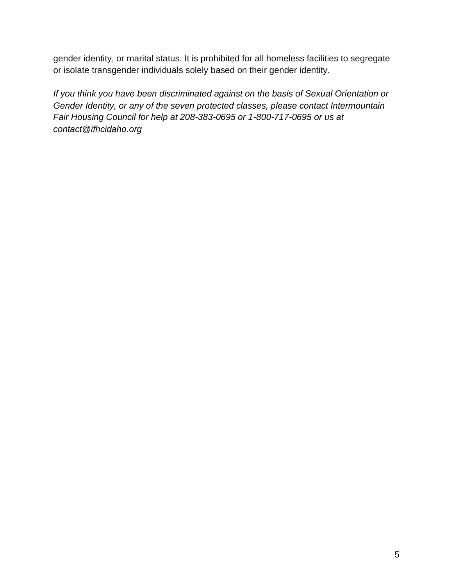gender identity, or marital status. It is prohibited for all homeless facilities to segregate or isolate transgender individuals solely based on their gender identity.

*If you think you have been discriminated against on the basis of Sexual Orientation or Gender Identity, or any of the seven protected classes, please contact Intermountain Fair Housing Council for help at 208-383-0695 or 1-800-717-0695 or us at contact@ifhcidaho.org*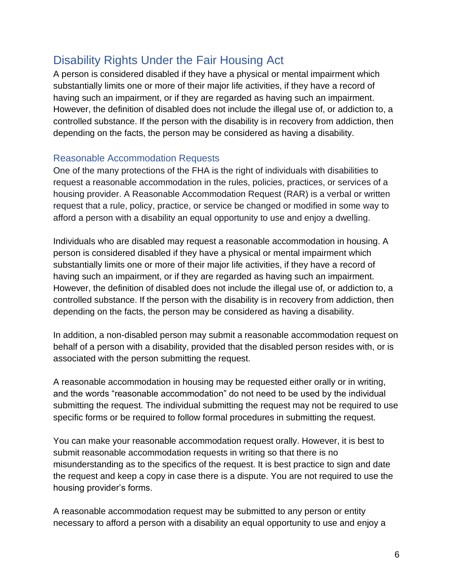# <span id="page-5-0"></span>Disability Rights Under the Fair Housing Act

A person is considered disabled if they have a physical or mental impairment which substantially limits one or more of their major life activities, if they have a record of having such an impairment, or if they are regarded as having such an impairment. However, the definition of disabled does not include the illegal use of, or addiction to, a controlled substance. If the person with the disability is in recovery from addiction, then depending on the facts, the person may be considered as having a disability.

## <span id="page-5-1"></span>Reasonable Accommodation Requests

One of the many protections of the FHA is the right of individuals with disabilities to request a reasonable accommodation in the rules, policies, practices, or services of a housing provider. A Reasonable Accommodation Request (RAR) is a verbal or written request that a rule, policy, practice, or service be changed or modified in some way to afford a person with a disability an equal opportunity to use and enjoy a dwelling.

Individuals who are disabled may request a reasonable accommodation in housing. A person is considered disabled if they have a physical or mental impairment which substantially limits one or more of their major life activities, if they have a record of having such an impairment, or if they are regarded as having such an impairment. However, the definition of disabled does not include the illegal use of, or addiction to, a controlled substance. If the person with the disability is in recovery from addiction, then depending on the facts, the person may be considered as having a disability.

In addition, a non-disabled person may submit a reasonable accommodation request on behalf of a person with a disability, provided that the disabled person resides with, or is associated with the person submitting the request.

A reasonable accommodation in housing may be requested either orally or in writing, and the words "reasonable accommodation" do not need to be used by the individual submitting the request. The individual submitting the request may not be required to use specific forms or be required to follow formal procedures in submitting the request.

You can make your reasonable accommodation request orally. However, it is best to submit reasonable accommodation requests in writing so that there is no misunderstanding as to the specifics of the request. It is best practice to sign and date the request and keep a copy in case there is a dispute. You are not required to use the housing provider's forms.

A reasonable accommodation request may be submitted to any person or entity necessary to afford a person with a disability an equal opportunity to use and enjoy a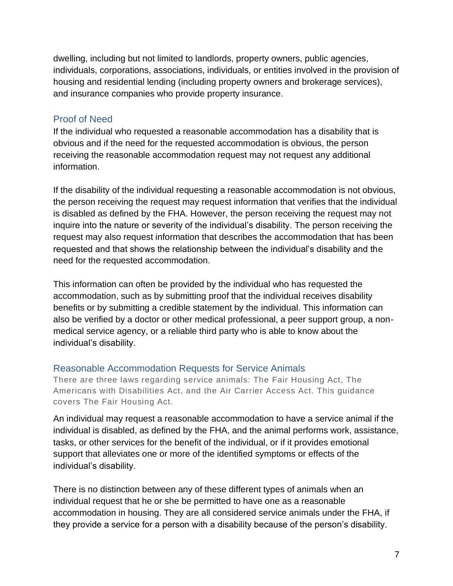dwelling, including but not limited to landlords, property owners, public agencies, individuals, corporations, associations, individuals, or entities involved in the provision of housing and residential lending (including property owners and brokerage services), and insurance companies who provide property insurance.

# <span id="page-6-0"></span>Proof of Need

If the individual who requested a reasonable accommodation has a disability that is obvious and if the need for the requested accommodation is obvious, the person receiving the reasonable accommodation request may not request any additional information.

If the disability of the individual requesting a reasonable accommodation is not obvious, the person receiving the request may request information that verifies that the individual is disabled as defined by the FHA. However, the person receiving the request may not inquire into the nature or severity of the individual's disability. The person receiving the request may also request information that describes the accommodation that has been requested and that shows the relationship between the individual's disability and the need for the requested accommodation.

This information can often be provided by the individual who has requested the accommodation, such as by submitting proof that the individual receives disability benefits or by submitting a credible statement by the individual. This information can also be verified by a doctor or other medical professional, a peer support group, a nonmedical service agency, or a reliable third party who is able to know about the individual's disability.

# <span id="page-6-1"></span>Reasonable Accommodation Requests for Service Animals

There are three laws regarding service animals: The Fair Housing Act, The Americans with Disabilities Act, and the Air Carrier Access Act. This guidance covers The Fair Housing Act.

An individual may request a reasonable accommodation to have a service animal if the individual is disabled, as defined by the FHA, and the animal performs work, assistance, tasks, or other services for the benefit of the individual, or if it provides emotional support that alleviates one or more of the identified symptoms or effects of the individual's disability.

There is no distinction between any of these different types of animals when an individual request that he or she be permitted to have one as a reasonable accommodation in housing. They are all considered service animals under the FHA, if they provide a service for a person with a disability because of the person's disability.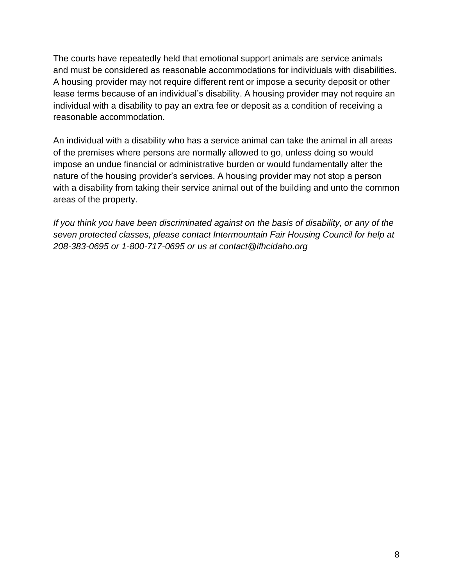The courts have repeatedly held that emotional support animals are service animals and must be considered as reasonable accommodations for individuals with disabilities. A housing provider may not require different rent or impose a security deposit or other lease terms because of an individual's disability. A housing provider may not require an individual with a disability to pay an extra fee or deposit as a condition of receiving a reasonable accommodation.

An individual with a disability who has a service animal can take the animal in all areas of the premises where persons are normally allowed to go, unless doing so would impose an undue financial or administrative burden or would fundamentally alter the nature of the housing provider's services. A housing provider may not stop a person with a disability from taking their service animal out of the building and unto the common areas of the property.

*If you think you have been discriminated against on the basis of disability, or any of the seven protected classes, please contact Intermountain Fair Housing Council for help at 208-383-0695 or 1-800-717-0695 or us at contact@ifhcidaho.org*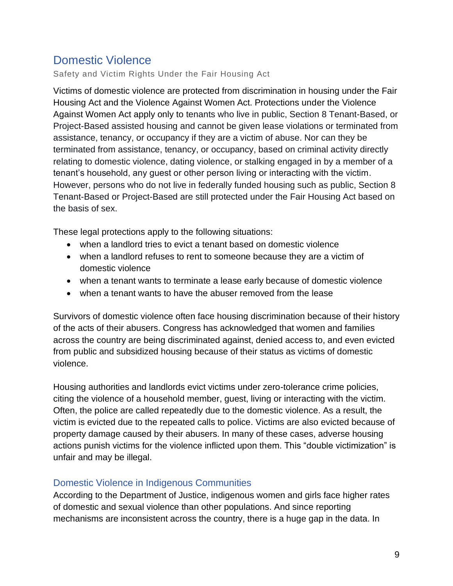# <span id="page-8-0"></span>Domestic Violence

Safety and Victim Rights Under the Fair Housing Act

Victims of domestic violence are protected from discrimination in housing under the Fair Housing Act and the Violence Against Women Act. Protections under the Violence Against Women Act apply only to tenants who live in public, Section 8 Tenant-Based, or Project-Based assisted housing and cannot be given lease violations or terminated from assistance, tenancy, or occupancy if they are a victim of abuse. Nor can they be terminated from assistance, tenancy, or occupancy, based on criminal activity directly relating to domestic violence, dating violence, or stalking engaged in by a member of a tenant's household, any guest or other person living or interacting with the victim. However, persons who do not live in federally funded housing such as public, Section 8 Tenant-Based or Project-Based are still protected under the Fair Housing Act based on the basis of sex.

These legal protections apply to the following situations:

- when a landlord tries to evict a tenant based on domestic violence
- when a landlord refuses to rent to someone because they are a victim of domestic violence
- when a tenant wants to terminate a lease early because of domestic violence
- when a tenant wants to have the abuser removed from the lease

Survivors of domestic violence often face housing discrimination because of their history of the acts of their abusers. Congress has acknowledged that women and families across the country are being discriminated against, denied access to, and even evicted from public and subsidized housing because of their status as victims of domestic violence.

Housing authorities and landlords evict victims under zero-tolerance crime policies, citing the violence of a household member, guest, living or interacting with the victim. Often, the police are called repeatedly due to the domestic violence. As a result, the victim is evicted due to the repeated calls to police. Victims are also evicted because of property damage caused by their abusers. In many of these cases, adverse housing actions punish victims for the violence inflicted upon them. This "double victimization" is unfair and may be illegal.

# <span id="page-8-1"></span>Domestic Violence in Indigenous Communities

According to the Department of Justice, indigenous women and girls face higher rates of domestic and sexual violence than other populations. And since reporting mechanisms are inconsistent across the country, there is a huge gap in the data. In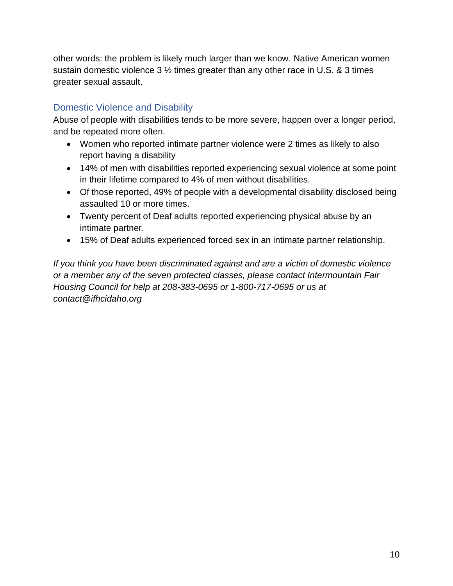other words: the problem is likely much larger than we know. Native American women sustain domestic violence 3 ½ times greater than any other race in U.S. & 3 times greater sexual assault.

# <span id="page-9-0"></span>Domestic Violence and Disability

Abuse of people with disabilities tends to be more severe, happen over a longer period, and be repeated more often.

- Women who reported intimate partner violence were 2 times as likely to also report having a disability
- 14% of men with disabilities reported experiencing sexual violence at some point in their lifetime compared to 4% of men without disabilities.
- Of those reported, 49% of people with a developmental disability disclosed being assaulted 10 or more times.
- Twenty percent of Deaf adults reported experiencing physical abuse by an intimate partner.
- 15% of Deaf adults experienced forced sex in an intimate partner relationship.

*If you think you have been discriminated against and are a victim of domestic violence or a member any of the seven protected classes, please contact Intermountain Fair Housing Council for help at 208-383-0695 or 1-800-717-0695 or us at contact@ifhcidaho.org*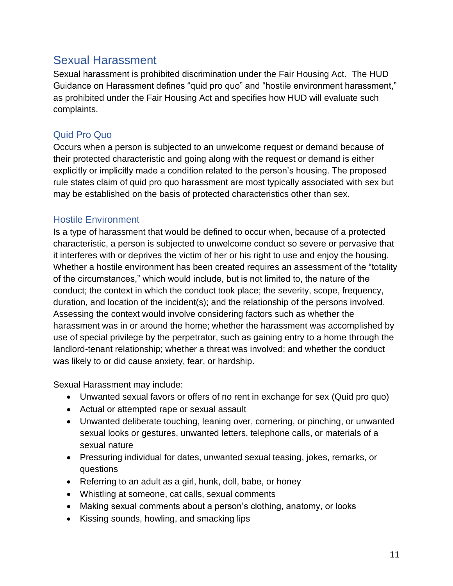# <span id="page-10-0"></span>Sexual Harassment

Sexual harassment is prohibited discrimination under the Fair Housing Act. The HUD Guidance on Harassment defines "quid pro quo" and "hostile environment harassment," as prohibited under the Fair Housing Act and specifies how HUD will evaluate such complaints.

# <span id="page-10-1"></span>Quid Pro Quo

Occurs when a person is subjected to an unwelcome request or demand because of their protected characteristic and going along with the request or demand is either explicitly or implicitly made a condition related to the person's housing. The proposed rule states claim of quid pro quo harassment are most typically associated with sex but may be established on the basis of protected characteristics other than sex.

# <span id="page-10-2"></span>Hostile Environment

Is a type of harassment that would be defined to occur when, because of a protected characteristic, a person is subjected to unwelcome conduct so severe or pervasive that it interferes with or deprives the victim of her or his right to use and enjoy the housing. Whether a hostile environment has been created requires an assessment of the "totality of the circumstances," which would include, but is not limited to, the nature of the conduct; the context in which the conduct took place; the severity, scope, frequency, duration, and location of the incident(s); and the relationship of the persons involved. Assessing the context would involve considering factors such as whether the harassment was in or around the home; whether the harassment was accomplished by use of special privilege by the perpetrator, such as gaining entry to a home through the landlord-tenant relationship; whether a threat was involved; and whether the conduct was likely to or did cause anxiety, fear, or hardship.

Sexual Harassment may include:

- Unwanted sexual favors or offers of no rent in exchange for sex (Quid pro quo)
- Actual or attempted rape or sexual assault
- Unwanted deliberate touching, leaning over, cornering, or pinching, or unwanted sexual looks or gestures, unwanted letters, telephone calls, or materials of a sexual nature
- Pressuring individual for dates, unwanted sexual teasing, jokes, remarks, or questions
- Referring to an adult as a girl, hunk, doll, babe, or honey
- Whistling at someone, cat calls, sexual comments
- Making sexual comments about a person's clothing, anatomy, or looks
- Kissing sounds, howling, and smacking lips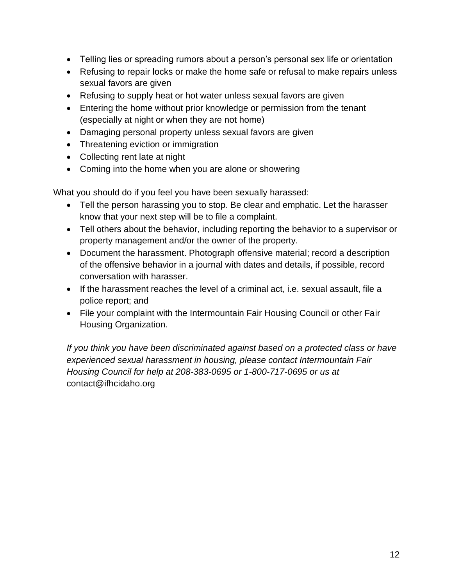- Telling lies or spreading rumors about a person's personal sex life or orientation
- Refusing to repair locks or make the home safe or refusal to make repairs unless sexual favors are given
- Refusing to supply heat or hot water unless sexual favors are given
- Entering the home without prior knowledge or permission from the tenant (especially at night or when they are not home)
- Damaging personal property unless sexual favors are given
- Threatening eviction or immigration
- Collecting rent late at night
- Coming into the home when you are alone or showering

What you should do if you feel you have been sexually harassed:

- Tell the person harassing you to stop. Be clear and emphatic. Let the harasser know that your next step will be to file a complaint.
- Tell others about the behavior, including reporting the behavior to a supervisor or property management and/or the owner of the property.
- Document the harassment. Photograph offensive material; record a description of the offensive behavior in a journal with dates and details, if possible, record conversation with harasser.
- If the harassment reaches the level of a criminal act, i.e. sexual assault, file a police report; and
- File your complaint with the Intermountain Fair Housing Council or other Fair Housing Organization.

*If you think you have been discriminated against based on a protected class or have experienced sexual harassment in housing, please contact Intermountain Fair Housing Council for help at 208-383-0695 or 1-800-717-0695 or us at*  contact@ifhcidaho.org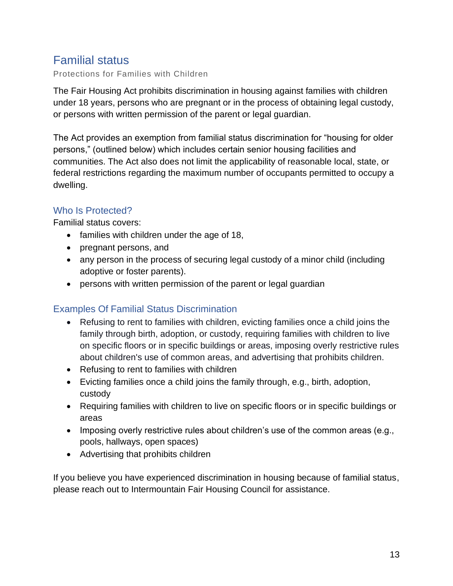# <span id="page-12-0"></span>Familial status

Protections for Families with Children

The Fair Housing Act prohibits discrimination in housing against families with children under 18 years, persons who are pregnant or in the process of obtaining legal custody, or persons with written permission of the parent or legal guardian.

The Act provides an exemption from familial status discrimination for "housing for older persons," (outlined below) which includes certain senior housing facilities and communities. The Act also does not limit the applicability of reasonable local, state, or federal restrictions regarding the maximum number of occupants permitted to occupy a dwelling.

# <span id="page-12-1"></span>Who Is Protected?

Familial status covers:

- families with children under the age of 18,
- pregnant persons, and
- any person in the process of securing legal custody of a minor child (including adoptive or foster parents).
- persons with written permission of the parent or legal guardian

# <span id="page-12-2"></span>Examples Of Familial Status Discrimination

- Refusing to rent to families with children, evicting families once a child joins the family through birth, adoption, or custody, requiring families with children to live on specific floors or in specific buildings or areas, imposing overly restrictive rules about children's use of common areas, and advertising that prohibits children.
- Refusing to rent to families with children
- Evicting families once a child joins the family through, e.g., birth, adoption, custody
- Requiring families with children to live on specific floors or in specific buildings or areas
- Imposing overly restrictive rules about children's use of the common areas (e.g., pools, hallways, open spaces)
- Advertising that prohibits children

If you believe you have experienced discrimination in housing because of familial status, please reach out to Intermountain Fair Housing Council for assistance.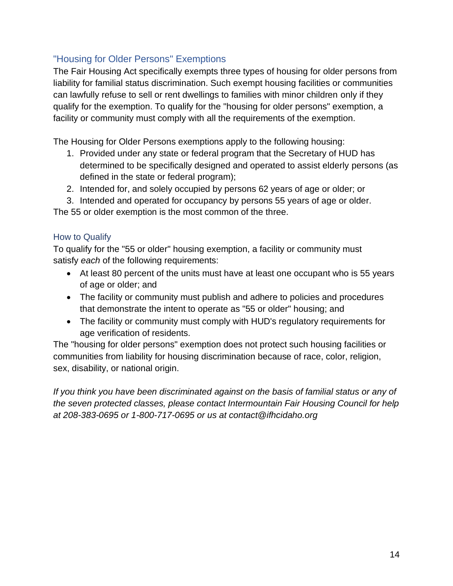# <span id="page-13-0"></span>"Housing for Older Persons" Exemptions

The Fair Housing Act specifically exempts three types of housing for older persons from liability for familial status discrimination. Such exempt housing facilities or communities can lawfully refuse to sell or rent dwellings to families with minor children only if they qualify for the exemption. To qualify for the "housing for older persons" exemption, a facility or community must comply with all the requirements of the exemption.

The Housing for Older Persons exemptions apply to the following housing:

- 1. Provided under any state or federal program that the Secretary of HUD has determined to be specifically designed and operated to assist elderly persons (as defined in the state or federal program);
- 2. Intended for, and solely occupied by persons 62 years of age or older; or
- 3. Intended and operated for occupancy by persons 55 years of age or older.

The 55 or older exemption is the most common of the three.

# <span id="page-13-1"></span>How to Qualify

To qualify for the "55 or older" housing exemption, a facility or community must satisfy *each* of the following requirements:

- At least 80 percent of the units must have at least one occupant who is 55 years of age or older; and
- The facility or community must publish and adhere to policies and procedures that demonstrate the intent to operate as "55 or older" housing; and
- The facility or community must comply with HUD's regulatory requirements for age verification of residents.

The "housing for older persons" exemption does not protect such housing facilities or communities from liability for housing discrimination because of race, color, religion, sex, disability, or national origin.

*If you think you have been discriminated against on the basis of familial status or any of the seven protected classes, please contact Intermountain Fair Housing Council for help at 208-383-0695 or 1-800-717-0695 or us at contact@ifhcidaho.org*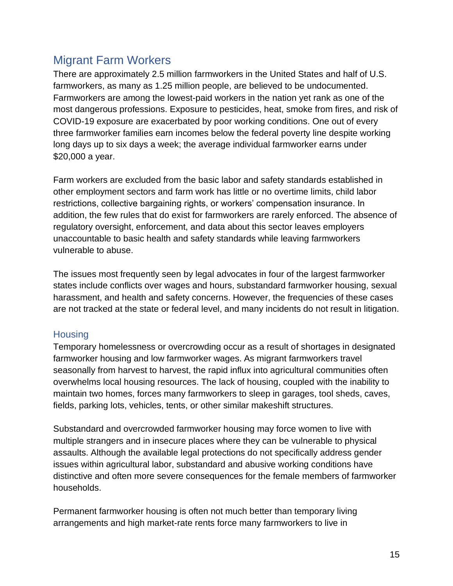# <span id="page-14-0"></span>Migrant Farm Workers

There are approximately 2.5 million farmworkers in the United States and half of U.S. farmworkers, as many as 1.25 million people, are believed to be undocumented. Farmworkers are among the lowest-paid workers in the nation yet rank as one of the most dangerous professions. Exposure to pesticides, heat, smoke from fires, and risk of COVID-19 exposure are exacerbated by poor working conditions. One out of every three farmworker families earn incomes below the federal poverty line despite working long days up to six days a week; the average individual farmworker earns under \$20,000 a year.

Farm workers are excluded from the basic labor and safety standards established in other employment sectors and farm work has little or no overtime limits, child labor restrictions, collective bargaining rights, or workers' compensation insurance. In addition, the few rules that do exist for farmworkers are rarely enforced. The absence of regulatory oversight, enforcement, and data about this sector leaves employers unaccountable to basic health and safety standards while leaving farmworkers vulnerable to abuse.

The issues most frequently seen by legal advocates in four of the largest farmworker states include conflicts over wages and hours, substandard farmworker housing, sexual harassment, and health and safety concerns. However, the frequencies of these cases are not tracked at the state or federal level, and many incidents do not result in litigation.

# <span id="page-14-1"></span>**Housing**

Temporary homelessness or overcrowding occur as a result of shortages in designated farmworker housing and low farmworker wages. As migrant farmworkers travel seasonally from harvest to harvest, the rapid influx into agricultural communities often overwhelms local housing resources. The lack of housing, coupled with the inability to maintain two homes, forces many farmworkers to sleep in garages, tool sheds, caves, fields, parking lots, vehicles, tents, or other similar makeshift structures.

Substandard and overcrowded farmworker housing may force women to live with multiple strangers and in insecure places where they can be vulnerable to physical assaults. Although the available legal protections do not specifically address gender issues within agricultural labor, substandard and abusive working conditions have distinctive and often more severe consequences for the female members of farmworker households.

Permanent farmworker housing is often not much better than temporary living arrangements and high market-rate rents force many farmworkers to live in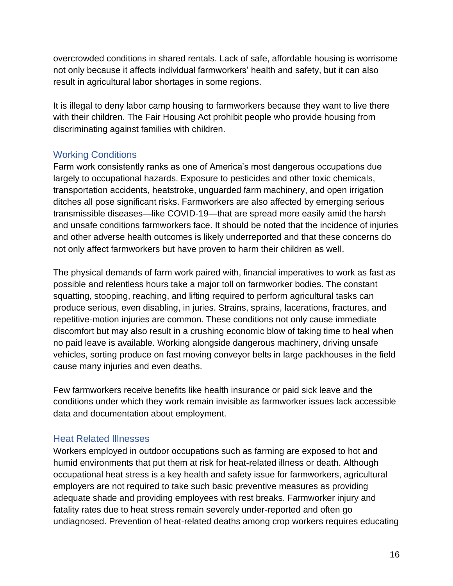overcrowded conditions in shared rentals. Lack of safe, affordable housing is worrisome not only because it affects individual farmworkers' health and safety, but it can also result in agricultural labor shortages in some regions.

It is illegal to deny labor camp housing to farmworkers because they want to live there with their children. The Fair Housing Act prohibit people who provide housing from discriminating against families with children.

# <span id="page-15-0"></span>Working Conditions

Farm work consistently ranks as one of America's most dangerous occupations due largely to occupational hazards. Exposure to pesticides and other toxic chemicals, transportation accidents, heatstroke, unguarded farm machinery, and open irrigation ditches all pose significant risks. Farmworkers are also affected by emerging serious transmissible diseases—like COVID-19—that are spread more easily amid the harsh and unsafe conditions farmworkers face. It should be noted that the incidence of injuries and other adverse health outcomes is likely underreported and that these concerns do not only affect farmworkers but have proven to harm their children as well.

The physical demands of farm work paired with, financial imperatives to work as fast as possible and relentless hours take a major toll on farmworker bodies. The constant squatting, stooping, reaching, and lifting required to perform agricultural tasks can produce serious, even disabling, in juries. Strains, sprains, lacerations, fractures, and repetitive-motion injuries are common. These conditions not only cause immediate discomfort but may also result in a crushing economic blow of taking time to heal when no paid leave is available. Working alongside dangerous machinery, driving unsafe vehicles, sorting produce on fast moving conveyor belts in large packhouses in the field cause many injuries and even deaths.

Few farmworkers receive benefits like health insurance or paid sick leave and the conditions under which they work remain invisible as farmworker issues lack accessible data and documentation about employment.

# <span id="page-15-1"></span>Heat Related Illnesses

Workers employed in outdoor occupations such as farming are exposed to hot and humid environments that put them at risk for heat-related illness or death. Although occupational heat stress is a key health and safety issue for farmworkers, agricultural employers are not required to take such basic preventive measures as providing adequate shade and providing employees with rest breaks. Farmworker injury and fatality rates due to heat stress remain severely under-reported and often go undiagnosed. Prevention of heat-related deaths among crop workers requires educating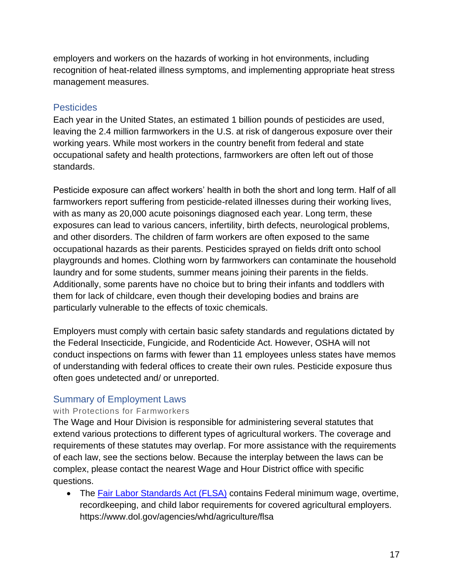employers and workers on the hazards of working in hot environments, including recognition of heat-related illness symptoms, and implementing appropriate heat stress management measures.

## <span id="page-16-0"></span>**Pesticides**

Each year in the United States, an estimated 1 billion pounds of pesticides are used, leaving the 2.4 million farmworkers in the U.S. at risk of dangerous exposure over their working years. While most workers in the country benefit from federal and state occupational safety and health protections, farmworkers are often left out of those standards.

Pesticide exposure can affect workers' health in both the short and long term. Half of all farmworkers report suffering from pesticide-related illnesses during their working lives, with as many as 20,000 acute poisonings diagnosed each year. Long term, these exposures can lead to various cancers, infertility, birth defects, neurological problems, and other disorders. The children of farm workers are often exposed to the same occupational hazards as their parents. Pesticides sprayed on fields drift onto school playgrounds and homes. Clothing worn by farmworkers can contaminate the household laundry and for some students, summer means joining their parents in the fields. Additionally, some parents have no choice but to bring their infants and toddlers with them for lack of childcare, even though their developing bodies and brains are particularly vulnerable to the effects of toxic chemicals.

Employers must comply with certain basic safety standards and regulations dictated by the Federal Insecticide, Fungicide, and Rodenticide Act. However, OSHA will not conduct inspections on farms with fewer than 11 employees unless states have memos of understanding with federal offices to create their own rules. Pesticide exposure thus often goes undetected and/ or unreported.

# <span id="page-16-1"></span>Summary of Employment Laws

#### with Protections for Farmworkers

The Wage and Hour Division is responsible for administering several statutes that extend various protections to different types of agricultural workers. The coverage and requirements of these statutes may overlap. For more assistance with the requirements of each law, see the sections below. Because the interplay between the laws can be complex, please contact the nearest Wage and Hour District office with specific questions.

• The [Fair Labor Standards Act \(FLSA\)](https://www.dol.gov/agencies/whd/agriculture/flsa) contains Federal minimum wage, overtime, recordkeeping, and child labor requirements for covered agricultural employers. https://www.dol.gov/agencies/whd/agriculture/flsa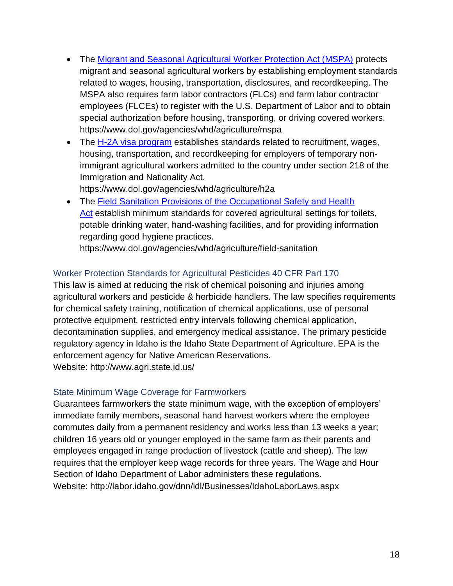- The [Migrant and Seasonal Agricultural Worker Protection Act \(MSPA\)](https://www.dol.gov/agencies/whd/agriculture/mspa) protects migrant and seasonal agricultural workers by establishing employment standards related to wages, housing, transportation, disclosures, and recordkeeping. The MSPA also requires farm labor contractors (FLCs) and farm labor contractor employees (FLCEs) to register with the U.S. Department of Labor and to obtain special authorization before housing, transporting, or driving covered workers. https://www.dol.gov/agencies/whd/agriculture/mspa
- The [H-2A visa program](https://www.dol.gov/agencies/whd/agriculture/h2a) establishes standards related to recruitment, wages, housing, transportation, and recordkeeping for employers of temporary nonimmigrant agricultural workers admitted to the country under section 218 of the Immigration and Nationality Act. https://www.dol.gov/agencies/whd/agriculture/h2a
- The [Field Sanitation Provisions of the Occupational Safety and Health](https://www.dol.gov/agencies/whd/agriculture/field-sanitation)  [Act](https://www.dol.gov/agencies/whd/agriculture/field-sanitation) establish minimum standards for covered agricultural settings for toilets, potable drinking water, hand-washing facilities, and for providing information regarding good hygiene practices.

https://www.dol.gov/agencies/whd/agriculture/field-sanitation

# <span id="page-17-0"></span>Worker Protection Standards for Agricultural Pesticides 40 CFR Part 170

This law is aimed at reducing the risk of chemical poisoning and injuries among agricultural workers and pesticide & herbicide handlers. The law specifies requirements for chemical safety training, notification of chemical applications, use of personal protective equipment, restricted entry intervals following chemical application, decontamination supplies, and emergency medical assistance. The primary pesticide regulatory agency in Idaho is the Idaho State Department of Agriculture. EPA is the enforcement agency for Native American Reservations. Website: http://www.agri.state.id.us/

# <span id="page-17-1"></span>State Minimum Wage Coverage for Farmworkers

Guarantees farmworkers the state minimum wage, with the exception of employers' immediate family members, seasonal hand harvest workers where the employee commutes daily from a permanent residency and works less than 13 weeks a year; children 16 years old or younger employed in the same farm as their parents and employees engaged in range production of livestock (cattle and sheep). The law requires that the employer keep wage records for three years. The Wage and Hour Section of Idaho Department of Labor administers these regulations. Website: http://labor.idaho.gov/dnn/idl/Businesses/IdahoLaborLaws.aspx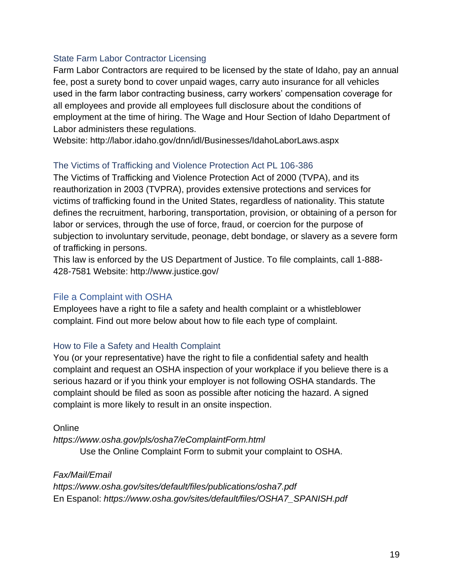#### <span id="page-18-0"></span>State Farm Labor Contractor Licensing

Farm Labor Contractors are required to be licensed by the state of Idaho, pay an annual fee, post a surety bond to cover unpaid wages, carry auto insurance for all vehicles used in the farm labor contracting business, carry workers' compensation coverage for all employees and provide all employees full disclosure about the conditions of employment at the time of hiring. The Wage and Hour Section of Idaho Department of Labor administers these regulations.

Website: http://labor.idaho.gov/dnn/idl/Businesses/IdahoLaborLaws.aspx

#### <span id="page-18-1"></span>The Victims of Trafficking and Violence Protection Act PL 106-386

The Victims of Trafficking and Violence Protection Act of 2000 (TVPA), and its reauthorization in 2003 (TVPRA), provides extensive protections and services for victims of trafficking found in the United States, regardless of nationality. This statute defines the recruitment, harboring, transportation, provision, or obtaining of a person for labor or services, through the use of force, fraud, or coercion for the purpose of subjection to involuntary servitude, peonage, debt bondage, or slavery as a severe form of trafficking in persons.

This law is enforced by the US Department of Justice. To file complaints, call 1-888- 428-7581 Website: http://www.justice.gov/

## <span id="page-18-2"></span>File a Complaint with OSHA

Employees have a right to file a safety and health complaint or a whistleblower complaint. Find out more below about how to file each type of complaint.

#### <span id="page-18-3"></span>How to File a Safety and Health Complaint

You (or your representative) have the right to file a confidential safety and health complaint and request an OSHA inspection of your workplace if you believe there is a serious hazard or if you think your employer is not following OSHA standards. The complaint should be filed as soon as possible after noticing the hazard. A signed complaint is more likely to result in an onsite inspection.

#### **Online**

*https://www.osha.gov/pls/osha7/eComplaintForm.html* Use the Online Complaint Form to submit your complaint to OSHA.

#### *Fax/Mail/Email*

*https://www.osha.gov/sites/default/files/publications/osha7.pdf* En Espanol: *https://www.osha.gov/sites/default/files/OSHA7\_SPANISH.pdf*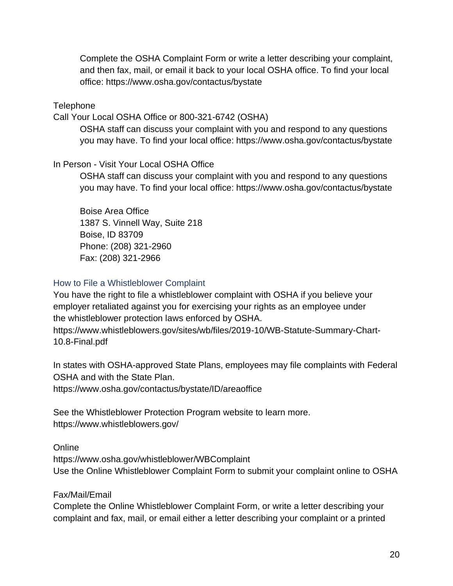Complete the OSHA Complaint Form or write a letter describing your complaint, and then fax, mail, or email it back to your local OSHA office. To find your local office: https://www.osha.gov/contactus/bystate

**Telephone** 

Call Your Local OSHA Office or 800-321-6742 (OSHA)

OSHA staff can discuss your complaint with you and respond to any questions you may have. To find your local office: https://www.osha.gov/contactus/bystate

#### In Person - Visit Your Local OSHA Office

OSHA staff can discuss your complaint with you and respond to any questions you may have. To find your local office: https://www.osha.gov/contactus/bystate

Boise Area Office 1387 S. Vinnell Way, Suite 218 Boise, ID 83709 Phone: (208) 321-2960 Fax: (208) 321-2966

## <span id="page-19-0"></span>How to File a Whistleblower Complaint

You have the right to file a whistleblower complaint with OSHA if you believe your employer retaliated against you for exercising your rights as an employee under the whistleblower protection laws enforced by OSHA. https://www.whistleblowers.gov/sites/wb/files/2019-10/WB-Statute-Summary-Chart-

10.8-Final.pdf

In states with OSHA-approved State Plans, employees may file complaints with Federal OSHA and with the State Plan.

https://www.osha.gov/contactus/bystate/ID/areaoffice

See the Whistleblower Protection Program website to learn more. https://www.whistleblowers.gov/

**Online** 

https://www.osha.gov/whistleblower/WBComplaint Use the Online Whistleblower Complaint Form to submit your complaint online to OSHA

Fax/Mail/Email

Complete the Online Whistleblower Complaint Form, or write a letter describing your complaint and fax, mail, or email either a letter describing your complaint or a printed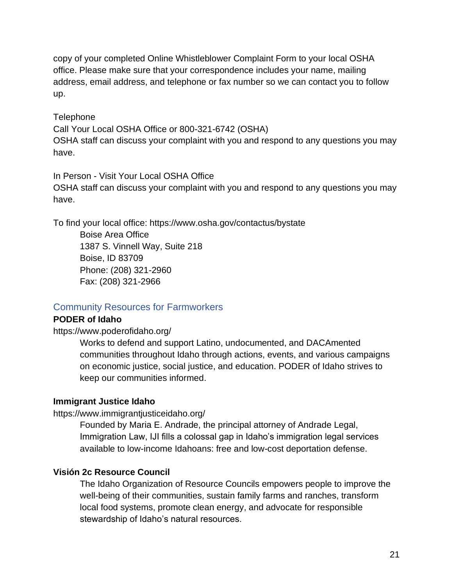copy of your completed Online Whistleblower Complaint Form to your local OSHA office. Please make sure that your correspondence includes your name, mailing address, email address, and telephone or fax number so we can contact you to follow up.

#### **Telephone**

Call Your Local OSHA Office or 800-321-6742 (OSHA) OSHA staff can discuss your complaint with you and respond to any questions you may have.

#### In Person - Visit Your Local OSHA Office

OSHA staff can discuss your complaint with you and respond to any questions you may have.

To find your local office: https://www.osha.gov/contactus/bystate

Boise Area Office 1387 S. Vinnell Way, Suite 218 Boise, ID 83709 Phone: (208) 321-2960 Fax: (208) 321-2966

# <span id="page-20-0"></span>Community Resources for Farmworkers

#### **PODER of Idaho**

https://www.poderofidaho.org/

Works to defend and support Latino, undocumented, and DACAmented communities throughout Idaho through actions, events, and various campaigns on economic justice, social justice, and education. PODER of Idaho strives to keep our communities informed.

#### **Immigrant Justice Idaho**

#### https://www.immigrantjusticeidaho.org/

Founded by Maria E. Andrade, the principal attorney of Andrade Legal, Immigration Law, IJI fills a colossal gap in Idaho's immigration legal services available to low-income Idahoans: free and low-cost deportation defense.

#### **Visión 2c Resource Council**

The Idaho Organization of Resource Councils empowers people to improve the well-being of their communities, sustain family farms and ranches, transform local food systems, promote clean energy, and advocate for responsible stewardship of Idaho's natural resources.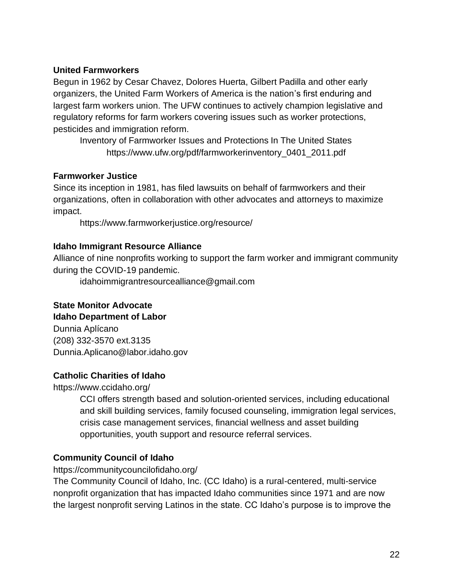#### **United Farmworkers**

Begun in 1962 by Cesar Chavez, Dolores Huerta, Gilbert Padilla and other early organizers, the United Farm Workers of America is the nation's first enduring and largest farm workers union. The UFW continues to actively champion legislative and regulatory reforms for farm workers covering issues such as worker protections, pesticides and immigration reform.

Inventory of Farmworker Issues and Protections In The United States https://www.ufw.org/pdf/farmworkerinventory\_0401\_2011.pdf

#### **Farmworker Justice**

Since its inception in 1981, has filed lawsuits on behalf of farmworkers and their organizations, often in collaboration with other advocates and attorneys to maximize impact.

https://www.farmworkerjustice.org/resource/

#### **Idaho Immigrant Resource Alliance**

Alliance of nine nonprofits working to support the farm worker and immigrant community during the COVID-19 pandemic.

idahoimmigrantresourcealliance@gmail.com

#### **State Monitor Advocate**

#### **Idaho Department of Labor**

Dunnia Aplícano (208) 332-3570 ext.3135 Dunnia.Aplicano@labor.idaho.gov

#### **Catholic Charities of Idaho**

https://www.ccidaho.org/

CCI offers strength based and solution-oriented services, including educational and skill building services, family focused counseling, immigration legal services, crisis case management services, financial wellness and asset building opportunities, youth support and resource referral services.

#### **Community Council of Idaho**

https://communitycouncilofidaho.org/

The Community Council of Idaho, Inc. (CC Idaho) is a rural-centered, multi-service nonprofit organization that has impacted Idaho communities since 1971 and are now the largest nonprofit serving Latinos in the state. CC Idaho's purpose is to improve the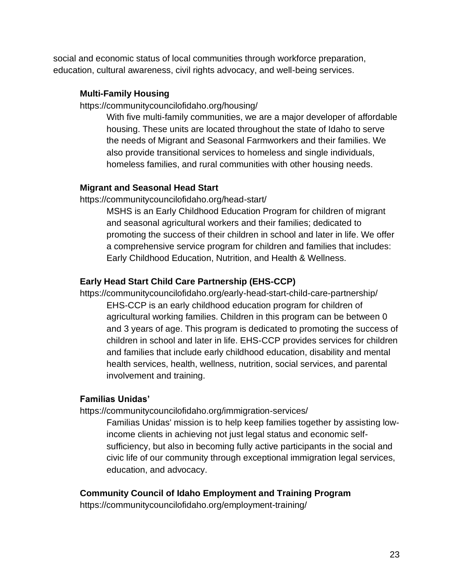social and economic status of local communities through workforce preparation, education, cultural awareness, civil rights advocacy, and well-being services.

#### **Multi-Family Housing**

https://communitycouncilofidaho.org/housing/

With five multi-family communities, we are a major developer of affordable housing. These units are located throughout the state of Idaho to serve the needs of Migrant and Seasonal Farmworkers and their families. We also provide transitional services to homeless and single individuals, homeless families, and rural communities with other housing needs.

## **Migrant and Seasonal Head Start**

https://communitycouncilofidaho.org/head-start/

MSHS is an Early Childhood Education Program for children of migrant and seasonal agricultural workers and their families; dedicated to promoting the success of their children in school and later in life. We offer a comprehensive service program for children and families that includes: Early Childhood Education, Nutrition, and Health & Wellness.

# **Early Head Start Child Care Partnership (EHS-CCP)**

https://communitycouncilofidaho.org/early-head-start-child-care-partnership/ EHS-CCP is an early childhood education program for children of agricultural working families. Children in this program can be between 0 and 3 years of age. This program is dedicated to promoting the success of children in school and later in life. EHS-CCP provides services for children and families that include early childhood education, disability and mental health services, health, wellness, nutrition, social services, and parental involvement and training.

#### **Familias Unidas'**

https://communitycouncilofidaho.org/immigration-services/

Familias Unidas' mission is to help keep families together by assisting lowincome clients in achieving not just legal status and economic selfsufficiency, but also in becoming fully active participants in the social and civic life of our community through exceptional immigration legal services, education, and advocacy.

# **Community Council of Idaho Employment and Training Program**

https://communitycouncilofidaho.org/employment-training/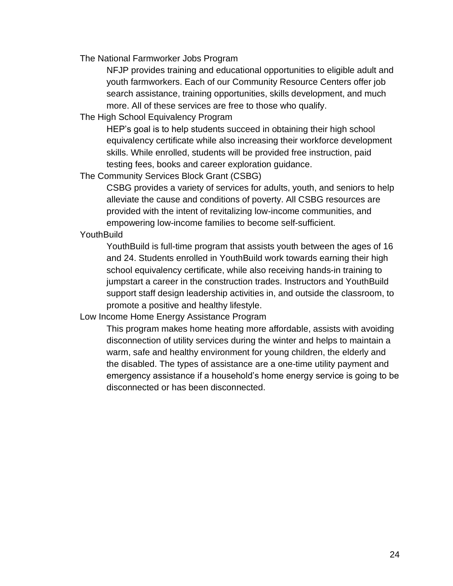The National Farmworker Jobs Program

NFJP provides training and educational opportunities to eligible adult and youth farmworkers. Each of our Community Resource Centers offer job search assistance, training opportunities, skills development, and much more. All of these services are free to those who qualify.

The High School Equivalency Program

HEP's goal is to help students succeed in obtaining their high school equivalency certificate while also increasing their workforce development skills. While enrolled, students will be provided free instruction, paid testing fees, books and career exploration guidance.

The Community Services Block Grant (CSBG)

CSBG provides a variety of services for adults, youth, and seniors to help alleviate the cause and conditions of poverty. All CSBG resources are provided with the intent of revitalizing low-income communities, and empowering low-income families to become self-sufficient.

#### **YouthBuild**

YouthBuild is full-time program that assists youth between the ages of 16 and 24. Students enrolled in YouthBuild work towards earning their high school equivalency certificate, while also receiving hands-in training to jumpstart a career in the construction trades. Instructors and YouthBuild support staff design leadership activities in, and outside the classroom, to promote a positive and healthy lifestyle.

Low Income Home Energy Assistance Program

This program makes home heating more affordable, assists with avoiding disconnection of utility services during the winter and helps to maintain a warm, safe and healthy environment for young children, the elderly and the disabled. The types of assistance are a one-time utility payment and emergency assistance if a household's home energy service is going to be disconnected or has been disconnected.